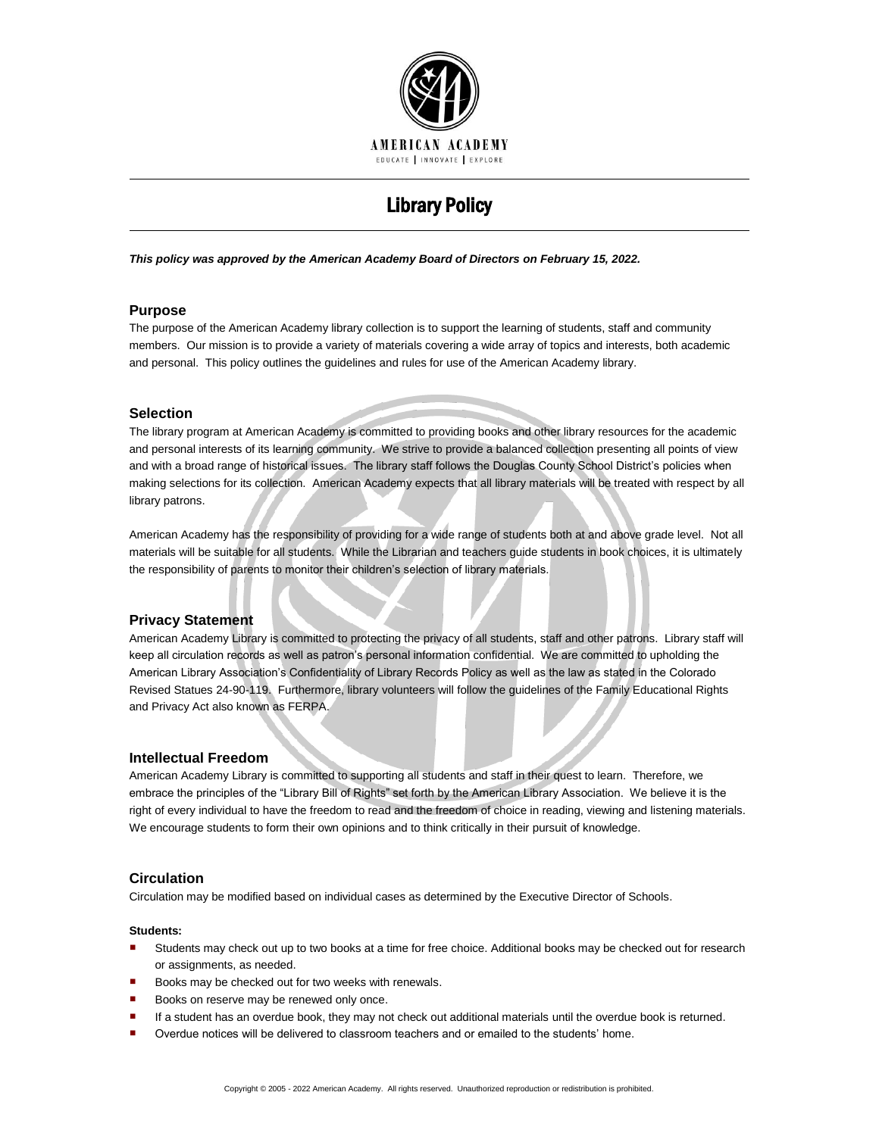

# Library Policy

*This policy was approved by the American Academy Board of Directors on February 15, 2022.*

## **Purpose**

The purpose of the American Academy library collection is to support the learning of students, staff and community members. Our mission is to provide a variety of materials covering a wide array of topics and interests, both academic and personal. This policy outlines the guidelines and rules for use of the American Academy library.

## **Selection**

The library program at American Academy is committed to providing books and other library resources for the academic and personal interests of its learning community. We strive to provide a balanced collection presenting all points of view and with a broad range of historical issues. The library staff follows the Douglas County School District's policies when making selections for its collection. American Academy expects that all library materials will be treated with respect by all library patrons.

American Academy has the responsibility of providing for a wide range of students both at and above grade level. Not all materials will be suitable for all students. While the Librarian and teachers guide students in book choices, it is ultimately the responsibility of parents to monitor their children's selection of library materials.

# **Privacy Statement**

American Academy Library is committed to protecting the privacy of all students, staff and other patrons. Library staff will keep all circulation records as well as patron's personal information confidential. We are committed to upholding the American Library Association's Confidentiality of Library Records Policy as well as the law as stated in the Colorado Revised Statues 24-90-119. Furthermore, library volunteers will follow the guidelines of the Family Educational Rights and Privacy Act also known as FERPA.

### **Intellectual Freedom**

American Academy Library is committed to supporting all students and staff in their quest to learn. Therefore, we embrace the principles of the "Library Bill of Rights" set forth by the American Library Association. We believe it is the right of every individual to have the freedom to read and the freedom of choice in reading, viewing and listening materials. We encourage students to form their own opinions and to think critically in their pursuit of knowledge.

### **Circulation**

Circulation may be modified based on individual cases as determined by the Executive Director of Schools.

#### **Students:**

- Students may check out up to two books at a time for free choice. Additional books may be checked out for research or assignments, as needed.
- Books may be checked out for two weeks with renewals.
- Books on reserve may be renewed only once.
- If a student has an overdue book, they may not check out additional materials until the overdue book is returned.
- Overdue notices will be delivered to classroom teachers and or emailed to the students' home.